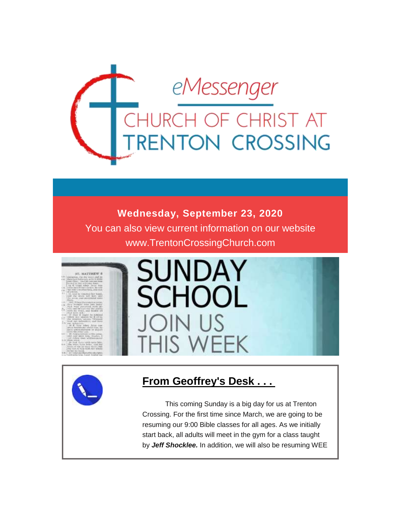

### **Wednesday, September 23, 2020**

You can also view current information on our website www.TrentonCrossingChurch.com





# **From Geoffrey's Desk . . .**

 This coming Sunday is a big day for us at Trenton Crossing. For the first time since March, we are going to be resuming our 9:00 Bible classes for all ages. As we initially start back, all adults will meet in the gym for a class taught by *Jeff Shocklee.* In addition, we will also be resuming WEE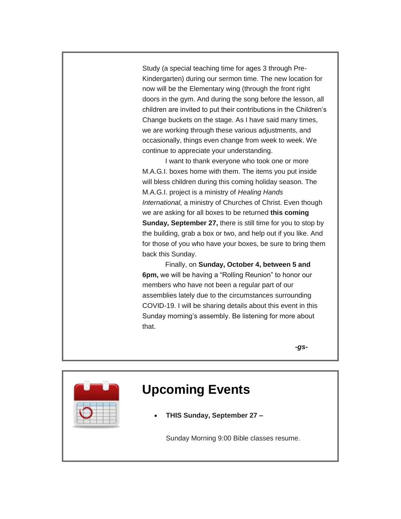Study (a special teaching time for ages 3 through Pre-Kindergarten) during our sermon time. The new location for now will be the Elementary wing (through the front right doors in the gym. And during the song before the lesson, all children are invited to put their contributions in the Children's Change buckets on the stage. As I have said many times, we are working through these various adjustments, and occasionally, things even change from week to week. We continue to appreciate your understanding.

 I want to thank everyone who took one or more M.A.G.I. boxes home with them. The items you put inside will bless children during this coming holiday season. The M.A.G.I. project is a ministry of *Healing Hands International,* a ministry of Churches of Christ. Even though we are asking for all boxes to be returned **this coming Sunday, September 27,** there is still time for you to stop by the building, grab a box or two, and help out if you like. And for those of you who have your boxes, be sure to bring them back this Sunday.

 Finally, on **Sunday, October 4, between 5 and 6pm,** we will be having a "Rolling Reunion" to honor our members who have not been a regular part of our assemblies lately due to the circumstances surrounding COVID-19. I will be sharing details about this event in this Sunday morning's assembly. Be listening for more about that.

 *-gs-*

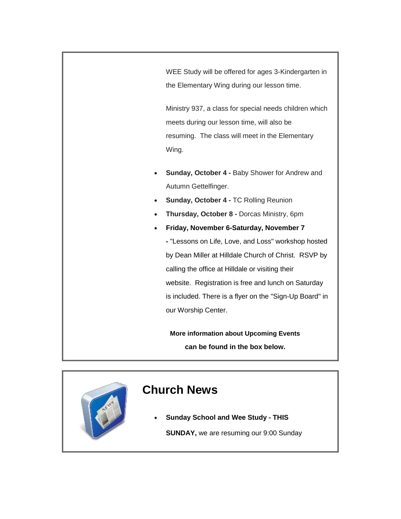WEE Study will be offered for ages 3-Kindergarten in the Elementary Wing during our lesson time.

Ministry 937, a class for special needs children which meets during our lesson time, will also be resuming. The class will meet in the Elementary Wing.

- **Sunday, October 4 -** Baby Shower for Andrew and Autumn Gettelfinger.
- **Sunday, October 4 -** TC Rolling Reunion
- **Thursday, October 8 -** Dorcas Ministry, 6pm
- **Friday, November 6-Saturday, November 7**

**-** "Lessons on Life, Love, and Loss" workshop hosted by Dean Miller at Hilldale Church of Christ. RSVP by calling the office at Hilldale or visiting their website. Registration is free and lunch on Saturday is included. There is a flyer on the "Sign-Up Board" in our Worship Center.

**More information about Upcoming Events can be found in the box below.**

# **Church News**

**Sunday School and Wee Study - THIS** 

**SUNDAY,** we are resuming our 9:00 Sunday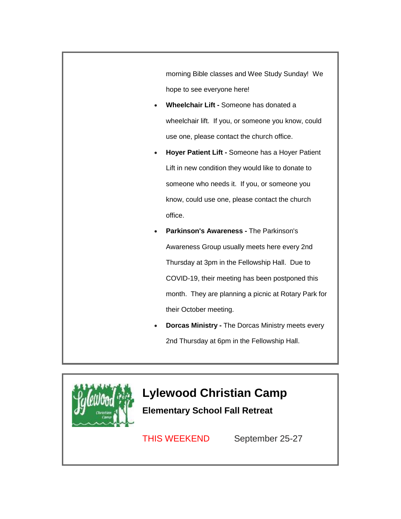morning Bible classes and Wee Study Sunday! We hope to see everyone here!

- **Wheelchair Lift -** Someone has donated a wheelchair lift. If you, or someone you know, could use one, please contact the church office.
- **Hoyer Patient Lift -** Someone has a Hoyer Patient Lift in new condition they would like to donate to someone who needs it. If you, or someone you know, could use one, please contact the church office.
- **Parkinson's Awareness -** The Parkinson's Awareness Group usually meets here every 2nd Thursday at 3pm in the Fellowship Hall. Due to COVID-19, their meeting has been postponed this month. They are planning a picnic at Rotary Park for their October meeting.
- **Dorcas Ministry -** The Dorcas Ministry meets every 2nd Thursday at 6pm in the Fellowship Hall.



# **Lylewood Christian Camp**

**Elementary School Fall Retreat**

THIS WEEKEND September 25-27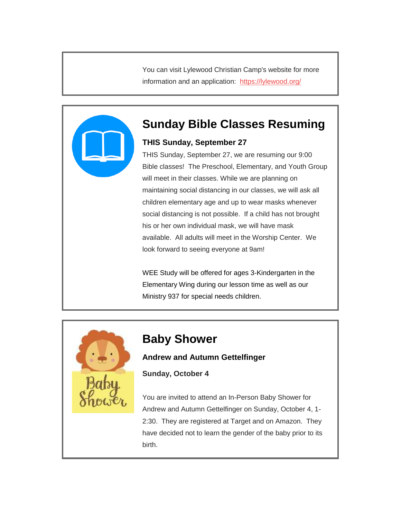You can visit Lylewood Christian Camp's website for more information and an application: <https://lylewood.org/>



### **Sunday Bible Classes Resuming**

### **THIS Sunday, September 27**

THIS Sunday, September 27, we are resuming our 9:00 Bible classes! The Preschool, Elementary, and Youth Group will meet in their classes. While we are planning on maintaining social distancing in our classes, we will ask all children elementary age and up to wear masks whenever social distancing is not possible. If a child has not brought his or her own individual mask, we will have mask available. All adults will meet in the Worship Center. We look forward to seeing everyone at 9am!

WEE Study will be offered for ages 3-Kindergarten in the Elementary Wing during our lesson time as well as our Ministry 937 for special needs children.



### **Baby Shower**

#### **Andrew and Autumn Gettelfinger**

**Sunday, October 4**

You are invited to attend an In-Person Baby Shower for Andrew and Autumn Gettelfinger on Sunday, October 4, 1- 2:30. They are registered at Target and on Amazon. They have decided not to learn the gender of the baby prior to its birth.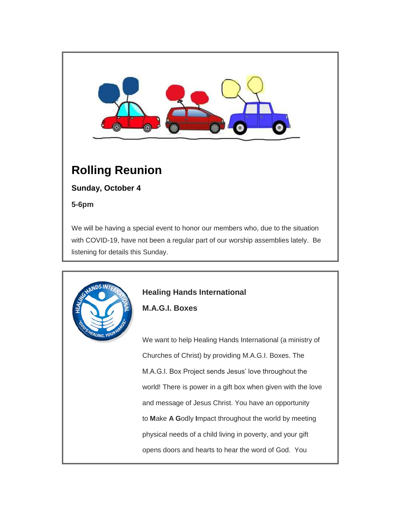

# **Rolling Reunion**

**Sunday, October 4**

Linic VC

**5-6pm**

We will be having a special event to honor our members who, due to the situation with COVID-19, have not been a regular part of our worship assemblies lately. Be listening for details this Sunday.



**M.A.G.I. Boxes**

We want to help Healing Hands International (a ministry of Churches of Christ) by providing M.A.G.I. Boxes. The M.A.G.I. Box Project sends Jesus' love throughout the world! There is power in a gift box when given with the love and message of Jesus Christ. You have an opportunity to **M**ake **A G**odly **I**mpact throughout the world by meeting physical needs of a child living in poverty, and your gift opens doors and hearts to hear the word of God. You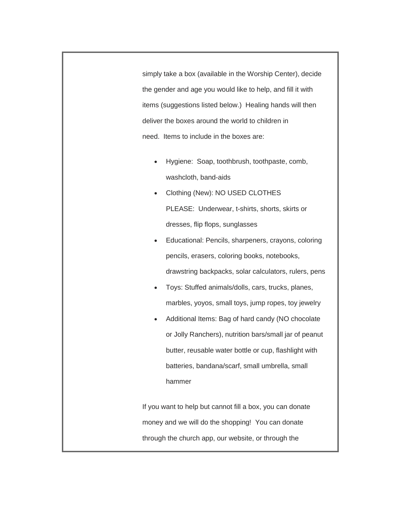simply take a box (available in the Worship Center), decide the gender and age you would like to help, and fill it with items (suggestions listed below.) Healing hands will then deliver the boxes around the world to children in need. Items to include in the boxes are:

- Hygiene: Soap, toothbrush, toothpaste, comb, washcloth, band-aids
- Clothing (New): NO USED CLOTHES PLEASE: Underwear, t-shirts, shorts, skirts or dresses, flip flops, sunglasses
- Educational: Pencils, sharpeners, crayons, coloring pencils, erasers, coloring books, notebooks, drawstring backpacks, solar calculators, rulers, pens
- Toys: Stuffed animals/dolls, cars, trucks, planes, marbles, yoyos, small toys, jump ropes, toy jewelry
- Additional Items: Bag of hard candy (NO chocolate or Jolly Ranchers), nutrition bars/small jar of peanut butter, reusable water bottle or cup, flashlight with batteries, bandana/scarf, small umbrella, small hammer

If you want to help but cannot fill a box, you can donate money and we will do the shopping! You can donate through the church app, our website, or through the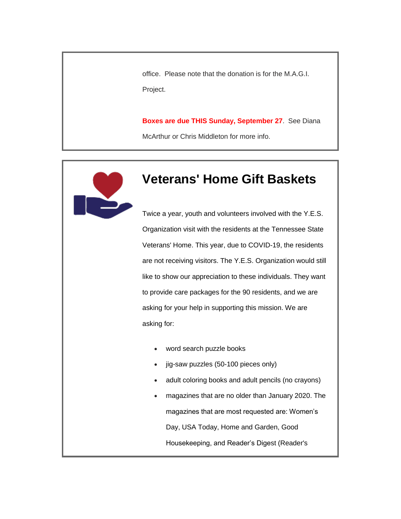office. Please note that the donation is for the M.A.G.I. Project.

**Boxes are due THIS Sunday, September 27**. See Diana McArthur or Chris Middleton for more info.



# **Veterans' Home Gift Baskets**

Twice a year, youth and volunteers involved with the Y.E.S. Organization visit with the residents at the Tennessee State Veterans' Home. This year, due to COVID-19, the residents are not receiving visitors. The Y.E.S. Organization would still like to show our appreciation to these individuals. They want to provide care packages for the 90 residents, and we are asking for your help in supporting this mission. We are asking for:

- word search puzzle books
- jig-saw puzzles (50-100 pieces only)
- adult coloring books and adult pencils (no crayons)
- magazines that are no older than January 2020. The magazines that are most requested are: Women's Day, USA Today, Home and Garden, Good Housekeeping, and Reader's Digest (Reader's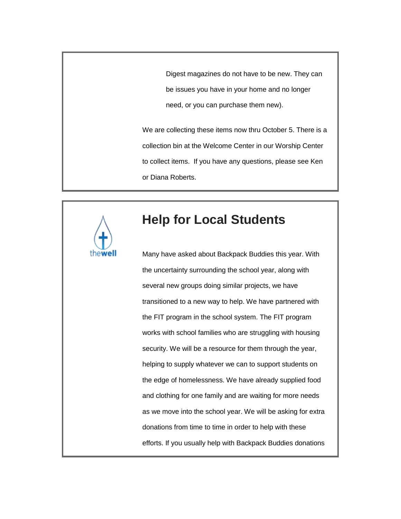Digest magazines do not have to be new. They can be issues you have in your home and no longer need, or you can purchase them new).

We are collecting these items now thru October 5. There is a collection bin at the Welcome Center in our Worship Center to collect items. If you have any questions, please see Ken or Diana Roberts.



## **Help for Local Students**

Many have asked about Backpack Buddies this year. With the uncertainty surrounding the school year, along with several new groups doing similar projects, we have transitioned to a new way to help. We have partnered with the FIT program in the school system. The FIT program works with school families who are struggling with housing security. We will be a resource for them through the year, helping to supply whatever we can to support students on the edge of homelessness. We have already supplied food and clothing for one family and are waiting for more needs as we move into the school year. We will be asking for extra donations from time to time in order to help with these efforts. If you usually help with Backpack Buddies donations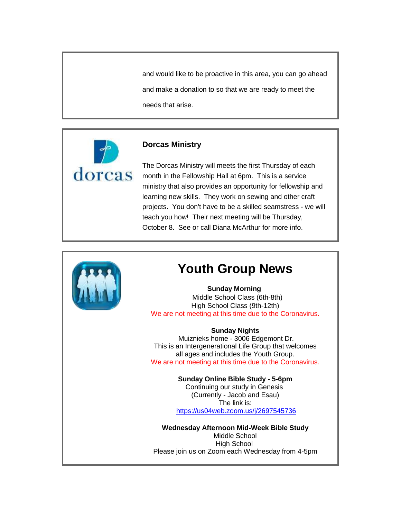and would like to be proactive in this area, you can go ahead and make a donation to so that we are ready to meet the needs that arise.



#### **Dorcas Ministry**

The Dorcas Ministry will meets the first Thursday of each month in the Fellowship Hall at 6pm. This is a service ministry that also provides an opportunity for fellowship and learning new skills. They work on sewing and other craft projects. You don't have to be a skilled seamstress - we will teach you how! Their next meeting will be Thursday, October 8. See or call Diana McArthur for more info.



### **Youth Group News**

#### **Sunday Morning**

 Middle School Class (6th-8th) High School Class (9th-12th) We are not meeting at this time due to the Coronavirus.

#### **Sunday Nights**

Muiznieks home - 3006 Edgemont Dr. This is an Intergenerational Life Group that welcomes all ages and includes the Youth Group. We are not meeting at this time due to the Coronavirus.

> **Sunday Online Bible Study - 5-6pm** Continuing our study in Genesis (Currently - Jacob and Esau) The link is: <https://us04web.zoom.us/j/2697545736>

**Wednesday Afternoon Mid-Week Bible Study** Middle School High School Please join us on Zoom each Wednesday from 4-5pm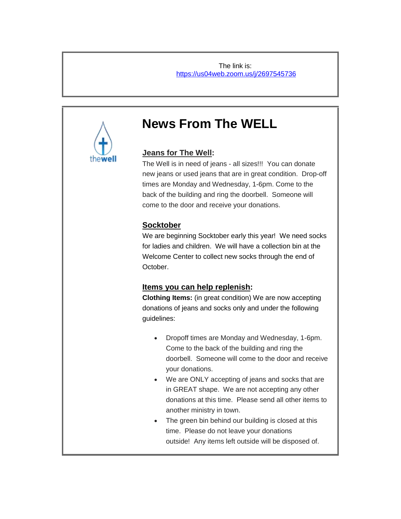The link is: <https://us04web.zoom.us/j/2697545736>



## **News From The WELL**

### **Jeans for The Well:**

The Well is in need of jeans - all sizes!!! You can donate new jeans or used jeans that are in great condition. Drop-off times are Monday and Wednesday, 1-6pm. Come to the back of the building and ring the doorbell. Someone will come to the door and receive your donations.

### **Socktober**

We are beginning Socktober early this year! We need socks for ladies and children. We will have a collection bin at the Welcome Center to collect new socks through the end of October.

### **Items you can help replenish:**

**Clothing Items:** (in great condition) We are now accepting donations of jeans and socks only and under the following guidelines:

- Dropoff times are Monday and Wednesday, 1-6pm. Come to the back of the building and ring the doorbell. Someone will come to the door and receive your donations.
- We are ONLY accepting of jeans and socks that are in GREAT shape. We are not accepting any other donations at this time. Please send all other items to another ministry in town.
- The green bin behind our building is closed at this time. Please do not leave your donations outside! Any items left outside will be disposed of.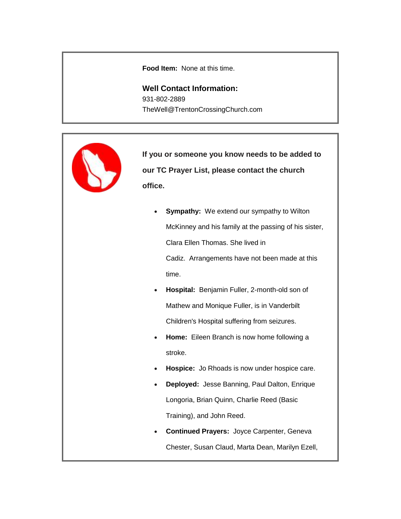**Food Item:** None at this time.

**Well Contact Information:** 931-802-2889 TheWell@TrentonCrossingChurch.com



**If you or someone you know needs to be added to our TC Prayer List, please contact the church office.**

- **Sympathy:** We extend our sympathy to Wilton McKinney and his family at the passing of his sister, Clara Ellen Thomas. She lived in Cadiz. Arrangements have not been made at this time.
- **Hospital:** Benjamin Fuller, 2-month-old son of Mathew and Monique Fuller, is in Vanderbilt Children's Hospital suffering from seizures.
- **Home:** Eileen Branch is now home following a stroke.
- **Hospice:** Jo Rhoads is now under hospice care.
- **Deployed:** Jesse Banning, Paul Dalton, Enrique Longoria, Brian Quinn, Charlie Reed (Basic Training), and John Reed.
- **Continued Prayers:** Joyce Carpenter, Geneva Chester, Susan Claud, Marta Dean, Marilyn Ezell,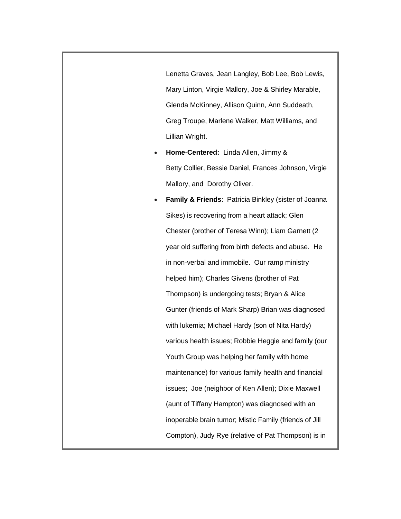Lenetta Graves, Jean Langley, Bob Lee, Bob Lewis, Mary Linton, Virgie Mallory, Joe & Shirley Marable, Glenda McKinney, Allison Quinn, Ann Suddeath, Greg Troupe, Marlene Walker, Matt Williams, and Lillian Wright.

 **Home-Centered:** Linda Allen, Jimmy & Betty Collier, Bessie Daniel, Frances Johnson, Virgie Mallory, and Dorothy Oliver.

 **Family & Friends**: Patricia Binkley (sister of Joanna Sikes) is recovering from a heart attack; Glen Chester (brother of Teresa Winn); Liam Garnett (2 year old suffering from birth defects and abuse. He in non-verbal and immobile. Our ramp ministry helped him); Charles Givens (brother of Pat Thompson) is undergoing tests; Bryan & Alice Gunter (friends of Mark Sharp) Brian was diagnosed with lukemia; Michael Hardy (son of Nita Hardy) various health issues; Robbie Heggie and family (our Youth Group was helping her family with home maintenance) for various family health and financial issues; Joe (neighbor of Ken Allen); Dixie Maxwell (aunt of Tiffany Hampton) was diagnosed with an inoperable brain tumor; Mistic Family (friends of Jill Compton), Judy Rye (relative of Pat Thompson) is in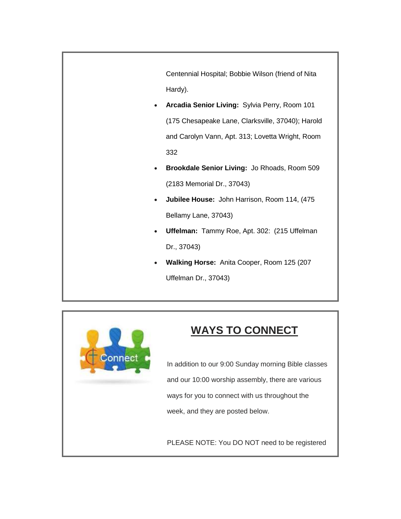Centennial Hospital; Bobbie Wilson (friend of Nita Hardy).

- **Arcadia Senior Living:** Sylvia Perry, Room 101 (175 Chesapeake Lane, Clarksville, 37040); Harold and Carolyn Vann, Apt. 313; Lovetta Wright, Room 332
- **Brookdale Senior Living:** Jo Rhoads, Room 509 (2183 Memorial Dr., 37043)
- **Jubilee House:** John Harrison, Room 114, (475 Bellamy Lane, 37043)
- **Uffelman:** Tammy Roe, Apt. 302: (215 Uffelman Dr., 37043)
- **Walking Horse:** Anita Cooper, Room 125 (207 Uffelman Dr., 37043)



## **WAYS TO CONNECT**

In addition to our 9:00 Sunday morning Bible classes and our 10:00 worship assembly, there are various ways for you to connect with us throughout the week, and they are posted below.

PLEASE NOTE: You DO NOT need to be registered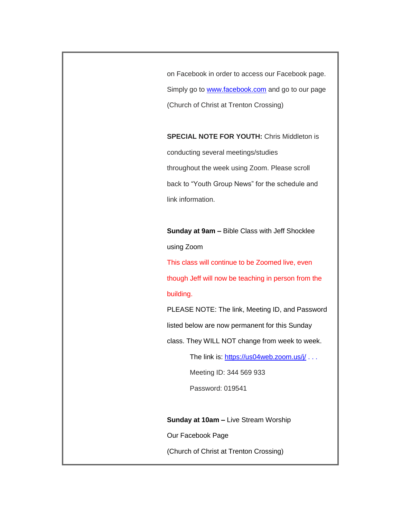on Facebook in order to access our Facebook page. Simply go to **[www.facebook.com](http://www.facebook.com/)** and go to our page (Church of Christ at Trenton Crossing)

**SPECIAL NOTE FOR YOUTH:** Chris Middleton is conducting several meetings/studies throughout the week using Zoom. Please scroll back to "Youth Group News" for the schedule and

link information.

**Sunday at 9am –** Bible Class with Jeff Shocklee using Zoom

This class will continue to be Zoomed live, even though Jeff will now be teaching in person from the building.

PLEASE NOTE: The link, Meeting ID, and Password

listed below are now permanent for this Sunday

class. They WILL NOT change from week to week.

The link is: <https://us04web.zoom.us/j/> . . .

Meeting ID: 344 569 933

Password: 019541

**Sunday at 10am –** Live Stream Worship

Our Facebook Page

(Church of Christ at Trenton Crossing)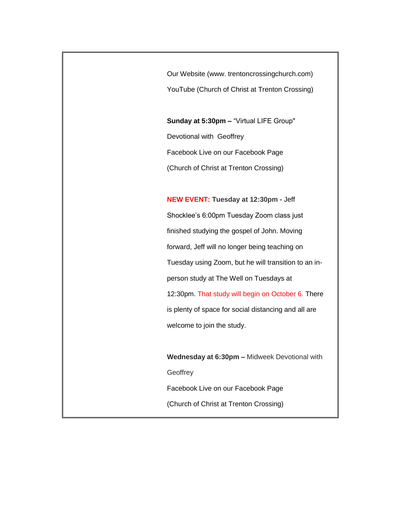Our Website (www. trentoncrossingchurch.com) YouTube (Church of Christ at Trenton Crossing)

**Sunday at 5:30pm –** "Virtual LIFE Group" Devotional with Geoffrey Facebook Live on our Facebook Page (Church of Christ at Trenton Crossing)

**NEW EVENT: Tuesday at 12:30pm -** Jeff Shocklee's 6:00pm Tuesday Zoom class just finished studying the gospel of John. Moving forward, Jeff will no longer being teaching on Tuesday using Zoom, but he will transition to an inperson study at The Well on Tuesdays at 12:30pm. That study will begin on October 6. There is plenty of space for social distancing and all are welcome to join the study.

**Wednesday at 6:30pm –** Midweek Devotional with **Geoffrey** Facebook Live on our Facebook Page

(Church of Christ at Trenton Crossing)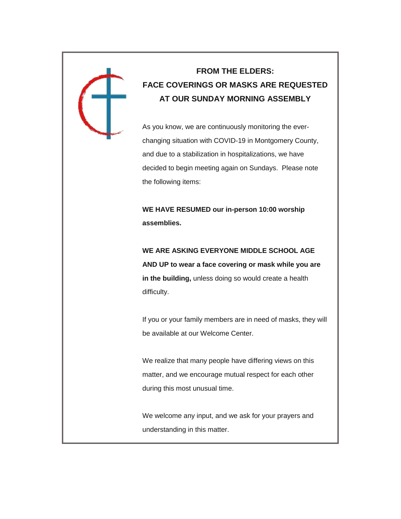

### **FROM THE ELDERS: FACE COVERINGS OR MASKS ARE REQUESTED AT OUR SUNDAY MORNING ASSEMBLY**

As you know, we are continuously monitoring the everchanging situation with COVID-19 in Montgomery County, and due to a stabilization in hospitalizations, we have decided to begin meeting again on Sundays. Please note the following items:

**WE HAVE RESUMED our in-person 10:00 worship assemblies.**

**WE ARE ASKING EVERYONE MIDDLE SCHOOL AGE AND UP to wear a face covering or mask while you are in the building,** unless doing so would create a health difficulty.

If you or your family members are in need of masks, they will be available at our Welcome Center.

We realize that many people have differing views on this matter, and we encourage mutual respect for each other during this most unusual time.

We welcome any input, and we ask for your prayers and understanding in this matter.